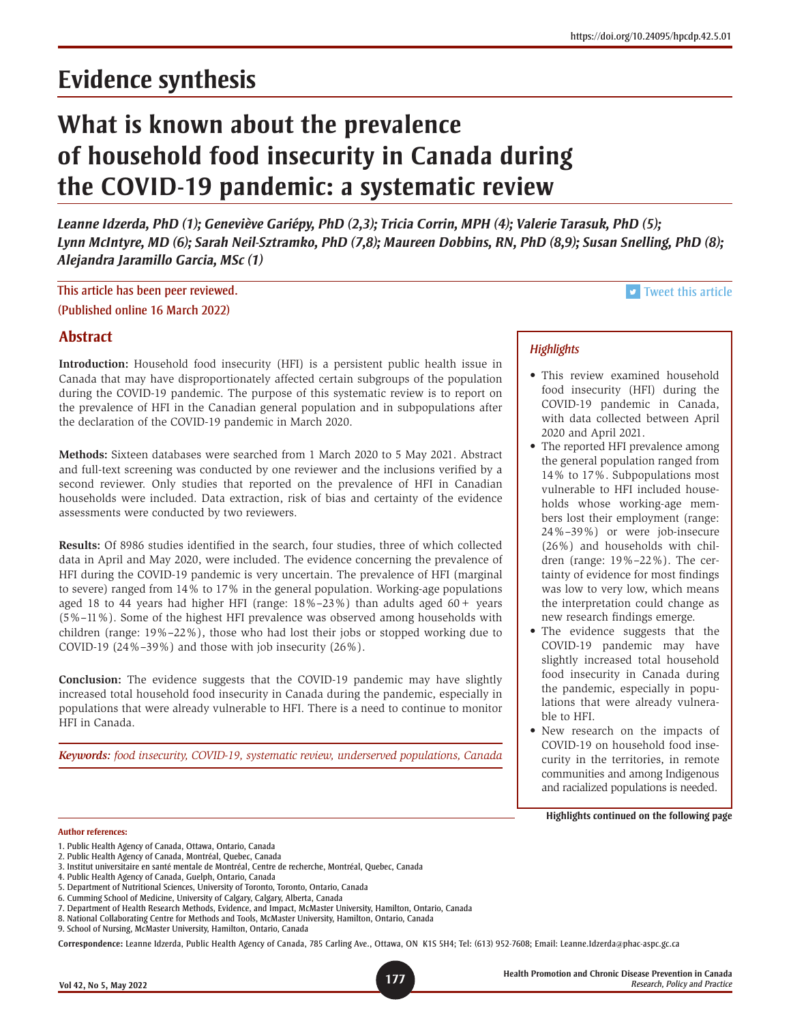# **Evidence synthesis**

# **What is known about the prevalence of household food insecurity in Canada during the COVID-19 pandemic: a systematic review**

*Leanne Idzerda, PhD (1); Geneviève Gariépy, PhD (2,3); Tricia Corrin, MPH (4); Valerie Tarasuk, PhD (5); Lynn McIntyre, MD (6); Sarah Neil-Sztramko, PhD (7,8); Maureen Dobbins, RN, PhD (8,9); Susan Snelling, PhD (8); Alejandra Jaramillo Garcia, MSc (1)*

This article has been peer reviewed. (Published online 16 March 2022)

# **Abstract**

**Introduction:** Household food insecurity (HFI) is a persistent public health issue in Canada that may have disproportionately affected certain subgroups of the population during the COVID-19 pandemic. The purpose of this systematic review is to report on the prevalence of HFI in the Canadian general population and in subpopulations after the declaration of the COVID-19 pandemic in March 2020.

**Methods:** Sixteen databases were searched from 1 March 2020 to 5 May 2021. Abstract and full-text screening was conducted by one reviewer and the inclusions verified by a second reviewer. Only studies that reported on the prevalence of HFI in Canadian households were included. Data extraction, risk of bias and certainty of the evidence assessments were conducted by two reviewers.

**Results:** Of 8986 studies identified in the search, four studies, three of which collected data in April and May 2020, were included. The evidence concerning the prevalence of HFI during the COVID-19 pandemic is very uncertain. The prevalence of HFI (marginal to severe) ranged from 14% to 17% in the general population. Working-age populations aged 18 to 44 years had higher HFI (range:  $18\% - 23\%$ ) than adults aged  $60 +$  years (5%–11%). Some of the highest HFI prevalence was observed among households with children (range: 19%–22%), those who had lost their jobs or stopped working due to COVID-19 (24%–39%) and those with job insecurity (26%).

**Conclusion:** The evidence suggests that the COVID-19 pandemic may have slightly increased total household food insecurity in Canada during the pandemic, especially in populations that were already vulnerable to HFI. There is a need to continue to monitor HFI in Canada.

*Keywords: food insecurity, COVID-19, systematic review, underserved populations, Canada*

## *Highlights*

• This review examined household food insecurity (HFI) during the COVID-19 pandemic in Canada, with data collected between April 2020 and April 2021.

**v** [Tweet this article](http://twitter.com/share?text=%23HPCDP Journal – What is known about the prevalence of household %23foodinsecurity in Canada during the %23COVID-19 pandemic: a %23systematicreview&hashtags=PHAC&url=https://doi.org/10.24095/hpcdp.42.5.01)

- The reported HFI prevalence among the general population ranged from 14% to 17%. Subpopulations most vulnerable to HFI included households whose working-age members lost their employment (range: 24%–39%) or were job-insecure (26%) and households with children (range: 19%–22%). The certainty of evidence for most findings was low to very low, which means the interpretation could change as new research findings emerge.
- The evidence suggests that the COVID-19 pandemic may have slightly increased total household food insecurity in Canada during the pandemic, especially in populations that were already vulnerable to HFI.
- New research on the impacts of COVID-19 on household food insecurity in the territories, in remote communities and among Indigenous and racialized populations is needed.

**Highlights continued on the following page**

#### **Author references:**

**Correspondence:** Leanne Idzerda, Public Health Agency of Canada, 785 Carling Ave., Ottawa, ON K1S 5H4; Tel: (613) 952-7608; Email: [Leanne.Idzerda@phac-aspc.gc.ca](mailto:Leanne.Idzerda@phac-aspc.gc.ca)

<sup>1.</sup> Public Health Agency of Canada, Ottawa, Ontario, Canada

<sup>2.</sup> Public Health Agency of Canada, Montréal, Quebec, Canada

<sup>3.</sup> Institut universitaire en santé mentale de Montréal, Centre de recherche, Montréal, Quebec, Canada

<sup>4.</sup> Public Health Agency of Canada, Guelph, Ontario, Canada

<sup>5.</sup> Department of Nutritional Sciences, University of Toronto, Toronto, Ontario, Canada

<sup>6.</sup> Cumming School of Medicine, University of Calgary, Calgary, Alberta, Canada

<sup>7.</sup> Department of Health Research Methods, Evidence, and Impact, McMaster University, Hamilton, Ontario, Canada

<sup>8.</sup> National Collaborating Centre for Methods and Tools, McMaster University, Hamilton, Ontario, Canada

<sup>9.</sup> School of Nursing, McMaster University, Hamilton, Ontario, Canada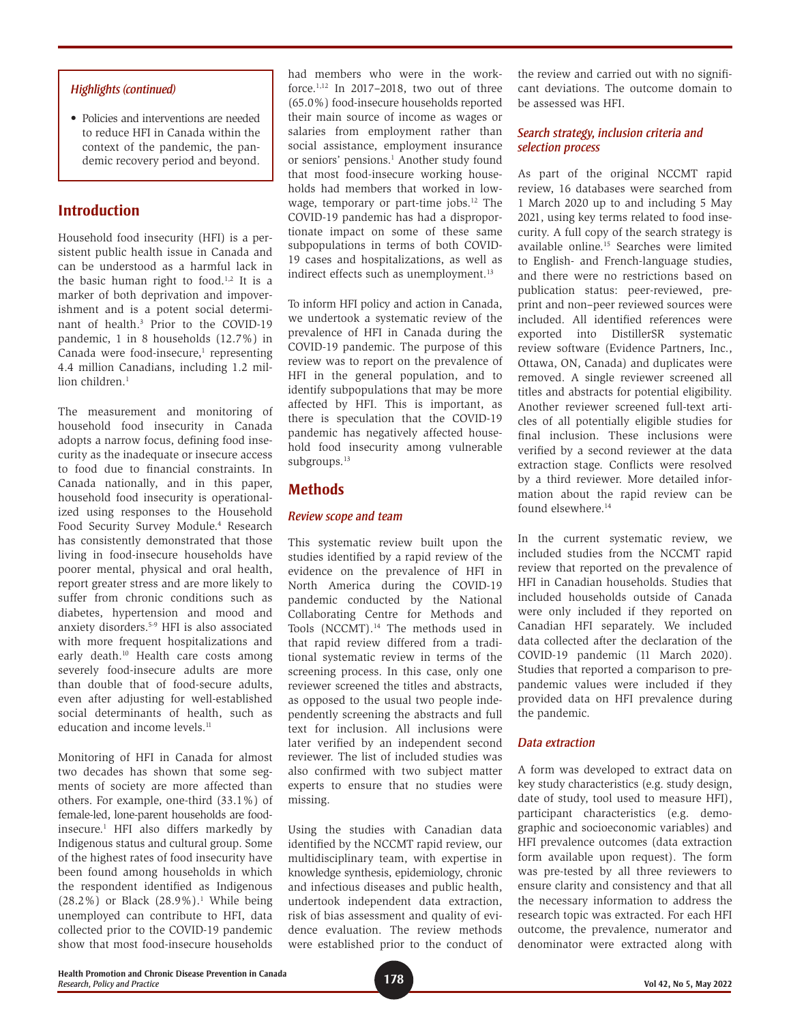## *Highlights (continued)*

• Policies and interventions are needed to reduce HFI in Canada within the context of the pandemic, the pandemic recovery period and beyond.

# **Introduction**

Household food insecurity (HFI) is a persistent public health issue in Canada and can be understood as a harmful lack in the basic human right to food.<sup>1,2</sup> It is a marker of both deprivation and impoverishment and is a potent social determinant of health.3 Prior to the COVID-19 pandemic, 1 in 8 households (12.7%) in Canada were food-insecure, $1$  representing 4.4 million Canadians, including 1.2 million children.<sup>1</sup>

The measurement and monitoring of household food insecurity in Canada adopts a narrow focus, defining food insecurity as the inadequate or insecure access to food due to financial constraints. In Canada nationally, and in this paper, household food insecurity is operationalized using responses to the Household Food Security Survey Module.<sup>4</sup> Research has consistently demonstrated that those living in food-insecure households have poorer mental, physical and oral health, report greater stress and are more likely to suffer from chronic conditions such as diabetes, hypertension and mood and anxiety disorders.5-9 HFI is also associated with more frequent hospitalizations and early death.<sup>10</sup> Health care costs among severely food-insecure adults are more than double that of food-secure adults, even after adjusting for well-established social determinants of health, such as education and income levels.<sup>11</sup>

Monitoring of HFI in Canada for almost two decades has shown that some segments of society are more affected than others. For example, one-third (33.1%) of female-led, lone-parent households are foodinsecure.1 HFI also differs markedly by Indigenous status and cultural group. Some of the highest rates of food insecurity have been found among households in which the respondent identified as Indigenous  $(28.2\%)$  or Black  $(28.9\%)$ .<sup>1</sup> While being unemployed can contribute to HFI, data collected prior to the COVID-19 pandemic show that most food-insecure households

had members who were in the workforce.<sup>1,12</sup> In 2017–2018, two out of three (65.0%) food-insecure households reported their main source of income as wages or salaries from employment rather than social assistance, employment insurance or seniors' pensions.<sup>1</sup> Another study found that most food-insecure working households had members that worked in lowwage, temporary or part-time jobs.<sup>12</sup> The COVID-19 pandemic has had a disproportionate impact on some of these same subpopulations in terms of both COVID-19 cases and hospitalizations, as well as indirect effects such as unemployment.<sup>13</sup>

To inform HFI policy and action in Canada, we undertook a systematic review of the prevalence of HFI in Canada during the COVID-19 pandemic. The purpose of this review was to report on the prevalence of HFI in the general population, and to identify subpopulations that may be more affected by HFI. This is important, as there is speculation that the COVID-19 pandemic has negatively affected household food insecurity among vulnerable subgroups.<sup>13</sup>

# **Methods**

### *Review scope and team*

This systematic review built upon the studies identified by a rapid review of the evidence on the prevalence of HFI in North America during the COVID-19 pandemic conducted by the National Collaborating Centre for Methods and Tools (NCCMT).<sup>14</sup> The methods used in that rapid review differed from a traditional systematic review in terms of the screening process. In this case, only one reviewer screened the titles and abstracts, as opposed to the usual two people independently screening the abstracts and full text for inclusion. All inclusions were later verified by an independent second reviewer. The list of included studies was also confirmed with two subject matter experts to ensure that no studies were missing.

Using the studies with Canadian data identified by the NCCMT rapid review, our multidisciplinary team, with expertise in knowledge synthesis, epidemiology, chronic and infectious diseases and public health, undertook independent data extraction, risk of bias assessment and quality of evidence evaluation. The review methods were established prior to the conduct of the review and carried out with no significant deviations. The outcome domain to be assessed was HFI.

## *Search strategy, inclusion criteria and selection process*

As part of the original NCCMT rapid review, 16 databases were searched from 1 March 2020 up to and including 5 May 2021, using key terms related to food insecurity. A full copy of the search strategy is available online.15 Searches were limited to English- and French-language studies, and there were no restrictions based on publication status: peer-reviewed, preprint and non–peer reviewed sources were included. All identified references were exported into DistillerSR systematic review software (Evidence Partners, Inc., Ottawa, ON, Canada) and duplicates were removed. A single reviewer screened all titles and abstracts for potential eligibility. Another reviewer screened full-text articles of all potentially eligible studies for final inclusion. These inclusions were verified by a second reviewer at the data extraction stage. Conflicts were resolved by a third reviewer. More detailed information about the rapid review can be found elsewhere.<sup>14</sup>

In the current systematic review, we included studies from the NCCMT rapid review that reported on the prevalence of HFI in Canadian households. Studies that included households outside of Canada were only included if they reported on Canadian HFI separately. We included data collected after the declaration of the COVID-19 pandemic (11 March 2020). Studies that reported a comparison to prepandemic values were included if they provided data on HFI prevalence during the pandemic.

## *Data extraction*

A form was developed to extract data on key study characteristics (e.g. study design, date of study, tool used to measure HFI), participant characteristics (e.g. demographic and socioeconomic variables) and HFI prevalence outcomes (data extraction form available upon request). The form was pre-tested by all three reviewers to ensure clarity and consistency and that all the necessary information to address the research topic was extracted. For each HFI outcome, the prevalence, numerator and denominator were extracted along with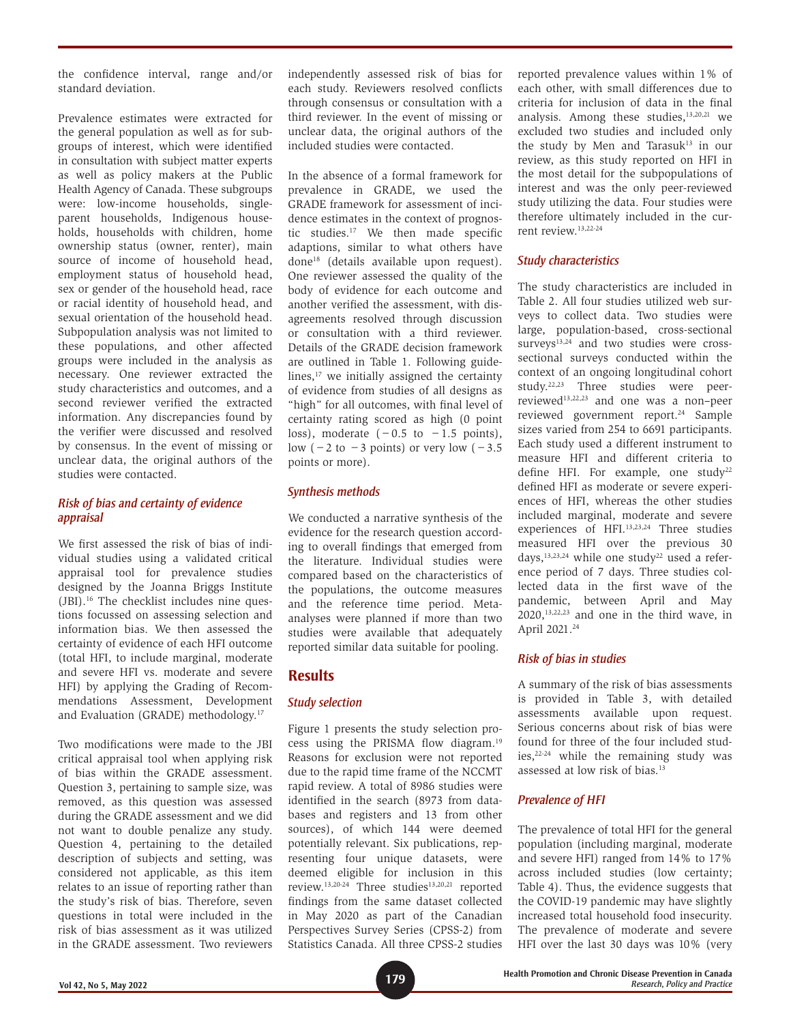the confidence interval, range and/or standard deviation.

Prevalence estimates were extracted for the general population as well as for subgroups of interest, which were identified in consultation with subject matter experts as well as policy makers at the Public Health Agency of Canada. These subgroups were: low-income households, singleparent households, Indigenous households, households with children, home ownership status (owner, renter), main source of income of household head, employment status of household head, sex or gender of the household head, race or racial identity of household head, and sexual orientation of the household head. Subpopulation analysis was not limited to these populations, and other affected groups were included in the analysis as necessary. One reviewer extracted the study characteristics and outcomes, and a second reviewer verified the extracted information. Any discrepancies found by the verifier were discussed and resolved by consensus. In the event of missing or unclear data, the original authors of the studies were contacted.

## *Risk of bias and certainty of evidence appraisal*

We first assessed the risk of bias of individual studies using a validated critical appraisal tool for prevalence studies designed by the Joanna Briggs Institute (JBI).16 The checklist includes nine questions focussed on assessing selection and information bias. We then assessed the certainty of evidence of each HFI outcome (total HFI, to include marginal, moderate and severe HFI vs. moderate and severe HFI) by applying the Grading of Recommendations Assessment, Development and Evaluation (GRADE) methodology.17

Two modifications were made to the JBI critical appraisal tool when applying risk of bias within the GRADE assessment. Question 3, pertaining to sample size, was removed, as this question was assessed during the GRADE assessment and we did not want to double penalize any study. Question 4, pertaining to the detailed description of subjects and setting, was considered not applicable, as this item relates to an issue of reporting rather than the study's risk of bias. Therefore, seven questions in total were included in the risk of bias assessment as it was utilized in the GRADE assessment. Two reviewers independently assessed risk of bias for each study. Reviewers resolved conflicts through consensus or consultation with a third reviewer. In the event of missing or unclear data, the original authors of the included studies were contacted.

In the absence of a formal framework for prevalence in GRADE, we used the GRADE framework for assessment of incidence estimates in the context of prognostic studies.17 We then made specific adaptions, similar to what others have done18 (details available upon request). One reviewer assessed the quality of the body of evidence for each outcome and another verified the assessment, with disagreements resolved through discussion or consultation with a third reviewer. Details of the GRADE decision framework are outlined in Table 1. Following guidelines, $17$  we initially assigned the certainty of evidence from studies of all designs as "high" for all outcomes, with final level of certainty rating scored as high (0 point loss), moderate  $(-0.5 \text{ to } -1.5 \text{ points})$ , low (−2 to −3 points) or very low (−3.5 points or more).

## *Synthesis methods*

We conducted a narrative synthesis of the evidence for the research question according to overall findings that emerged from the literature. Individual studies were compared based on the characteristics of the populations, the outcome measures and the reference time period. Metaanalyses were planned if more than two studies were available that adequately reported similar data suitable for pooling.

# **Results**

## *Study selection*

Figure 1 presents the study selection process using the PRISMA flow diagram.19 Reasons for exclusion were not reported due to the rapid time frame of the NCCMT rapid review. A total of 8986 studies were identified in the search (8973 from databases and registers and 13 from other sources), of which 144 were deemed potentially relevant. Six publications, representing four unique datasets, were deemed eligible for inclusion in this review.<sup>13,20-24</sup> Three studies<sup>13,20,21</sup> reported findings from the same dataset collected in May 2020 as part of the Canadian Perspectives Survey Series (CPSS-2) from Statistics Canada. All three CPSS-2 studies

reported prevalence values within 1% of each other, with small differences due to criteria for inclusion of data in the final analysis. Among these studies,13,20,21 we excluded two studies and included only the study by Men and Tarasuk<sup>13</sup> in our review, as this study reported on HFI in the most detail for the subpopulations of interest and was the only peer-reviewed study utilizing the data. Four studies were therefore ultimately included in the current review.13,22-24

## *Study characteristics*

The study characteristics are included in Table 2. All four studies utilized web surveys to collect data. Two studies were large, population-based, cross-sectional surveys<sup>13,24</sup> and two studies were crosssectional surveys conducted within the context of an ongoing longitudinal cohort study.22,23 Three studies were peerreviewed13,22,23 and one was a non–peer reviewed government report.<sup>24</sup> Sample sizes varied from 254 to 6691 participants. Each study used a different instrument to measure HFI and different criteria to define HFI. For example, one study<sup>22</sup> defined HFI as moderate or severe experiences of HFI, whereas the other studies included marginal, moderate and severe experiences of HFI.13,23,24 Three studies measured HFI over the previous 30 days, $13,23,24$  while one study<sup>22</sup> used a reference period of 7 days. Three studies collected data in the first wave of the pandemic, between April and May  $2020$ ,<sup>13,22,23</sup> and one in the third wave, in April 2021.<sup>24</sup>

## *Risk of bias in studies*

A summary of the risk of bias assessments is provided in Table 3, with detailed assessments available upon request. Serious concerns about risk of bias were found for three of the four included studies,22-24 while the remaining study was assessed at low risk of bias.13

# *Prevalence of HFI*

The prevalence of total HFI for the general population (including marginal, moderate and severe HFI) ranged from 14% to 17% across included studies (low certainty; Table 4). Thus, the evidence suggests that the COVID-19 pandemic may have slightly increased total household food insecurity. The prevalence of moderate and severe HFI over the last 30 days was 10% (very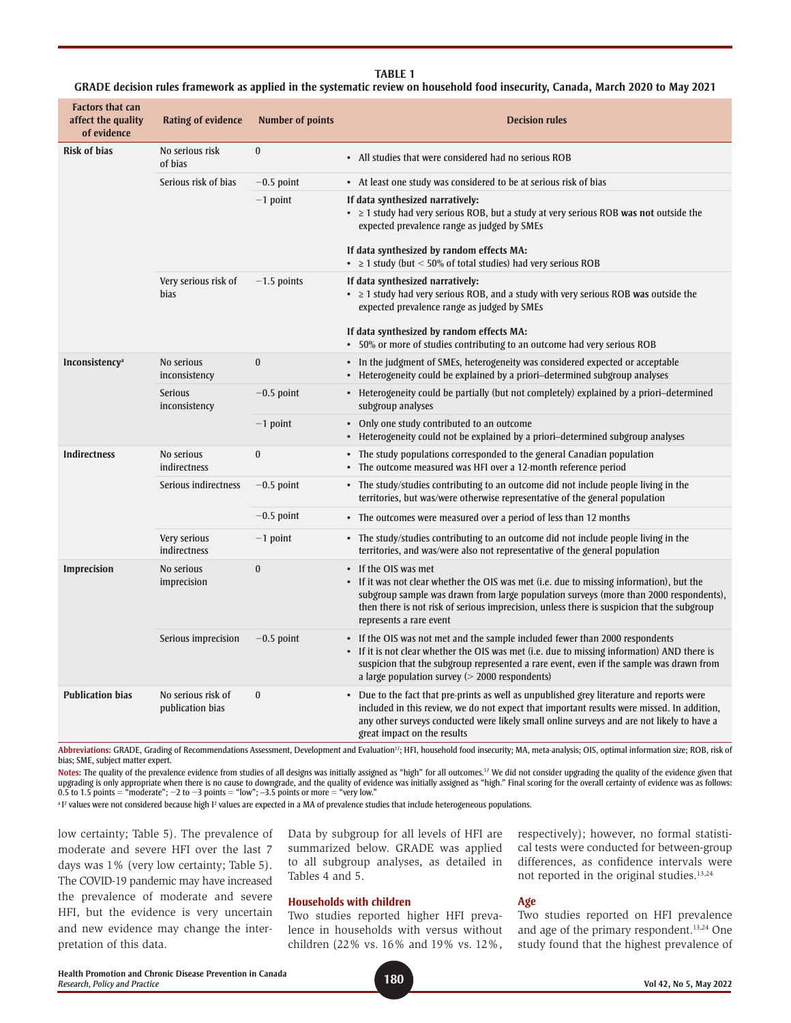| <b>Factors that can</b><br>affect the quality<br>of evidence | <b>Rating of evidence</b>              | <b>Number of points</b> | <b>Decision rules</b>                                                                                                                                                                                                                                                                                                              |
|--------------------------------------------------------------|----------------------------------------|-------------------------|------------------------------------------------------------------------------------------------------------------------------------------------------------------------------------------------------------------------------------------------------------------------------------------------------------------------------------|
| <b>Risk of bias</b>                                          | No serious risk<br>of bias             | $\bf{0}$                | • All studies that were considered had no serious ROB                                                                                                                                                                                                                                                                              |
|                                                              | Serious risk of bias                   | $-0.5$ point            | • At least one study was considered to be at serious risk of bias                                                                                                                                                                                                                                                                  |
|                                                              |                                        | $-1$ point              | If data synthesized narratively:<br>• ≥ 1 study had very serious ROB, but a study at very serious ROB was not outside the<br>expected prevalence range as judged by SMEs                                                                                                                                                           |
|                                                              |                                        |                         | If data synthesized by random effects MA:<br>• $\geq$ 1 study (but < 50% of total studies) had very serious ROB                                                                                                                                                                                                                    |
|                                                              | Very serious risk of<br><b>bias</b>    | $-1.5$ points           | If data synthesized narratively:<br>• > 1 study had very serious ROB, and a study with very serious ROB was outside the<br>expected prevalence range as judged by SMEs                                                                                                                                                             |
|                                                              |                                        |                         | If data synthesized by random effects MA:<br>• 50% or more of studies contributing to an outcome had very serious ROB                                                                                                                                                                                                              |
| Inconsistency <sup>a</sup>                                   | No serious<br>inconsistency            | $\bf{0}$                | • In the judgment of SMEs, heterogeneity was considered expected or acceptable<br>• Heterogeneity could be explained by a priori-determined subgroup analyses                                                                                                                                                                      |
|                                                              | <b>Serious</b><br>inconsistency        | $-0.5$ point            | • Heterogeneity could be partially (but not completely) explained by a priori-determined<br>subgroup analyses                                                                                                                                                                                                                      |
|                                                              |                                        | $-1$ point              | • Only one study contributed to an outcome<br>• Heterogeneity could not be explained by a priori-determined subgroup analyses                                                                                                                                                                                                      |
| <b>Indirectness</b>                                          | No serious<br>indirectness             | $\bf{0}$                | • The study populations corresponded to the general Canadian population<br>• The outcome measured was HFI over a 12-month reference period                                                                                                                                                                                         |
|                                                              | Serious indirectness                   | $-0.5$ point            | • The study/studies contributing to an outcome did not include people living in the<br>territories, but was/were otherwise representative of the general population                                                                                                                                                                |
|                                                              |                                        | $-0.5$ point            | • The outcomes were measured over a period of less than 12 months                                                                                                                                                                                                                                                                  |
|                                                              | Very serious<br>indirectness           | $-1$ point              | • The study/studies contributing to an outcome did not include people living in the<br>territories, and was/were also not representative of the general population                                                                                                                                                                 |
| <b>Imprecision</b>                                           | No serious<br>imprecision              | $\bf{0}$                | • If the OIS was met<br>• If it was not clear whether the OIS was met (i.e. due to missing information), but the<br>subgroup sample was drawn from large population surveys (more than 2000 respondents),<br>then there is not risk of serious imprecision, unless there is suspicion that the subgroup<br>represents a rare event |
|                                                              | Serious imprecision                    | $-0.5$ point            | • If the OIS was not met and the sample included fewer than 2000 respondents<br>• If it is not clear whether the OIS was met (i.e. due to missing information) AND there is<br>suspicion that the subgroup represented a rare event, even if the sample was drawn from<br>a large population survey ( $>$ 2000 respondents)        |
| <b>Publication bias</b>                                      | No serious risk of<br>publication bias | $\bf{0}$                | • Due to the fact that pre-prints as well as unpublished grey literature and reports were<br>included in this review, we do not expect that important results were missed. In addition,<br>any other surveys conducted were likely small online surveys and are not likely to have a<br>great impact on the results                |

#### **TABLE 1**

**GRADE decision rules framework as applied in the systematic review on household food insecurity, Canada, March 2020 to May 2021**

Abbreviations: GRADE, Grading of Recommendations Assessment, Development and Evaluation<sup>17</sup>; HFI, household food insecurity; MA, meta-analysis; OIS, optimal information size; ROB, risk of bias; SME, subject matter expert.

**Notes:** The quality of the prevalence evidence from studies of all designs was initially assigned as "high" for all outcomes.17 We did not consider upgrading the quality of the evidence given that upgrading is only appropriate when there is no cause to downgrade, and the quality of evidence was initially assigned as "high." Final scoring for the overall certainty of evidence was as follows:<br>0.5 to 1.5 points = "mode

<sup>a 12</sup> values were not considered because high 1<sup>2</sup> values are expected in a MA of prevalence studies that include heterogeneous populations.

low certainty; Table 5). The prevalence of moderate and severe HFI over the last 7 days was 1% (very low certainty; Table 5). The COVID-19 pandemic may have increased the prevalence of moderate and severe HFI, but the evidence is very uncertain and new evidence may change the interpretation of this data.

Data by subgroup for all levels of HFI are summarized below. GRADE was applied to all subgroup analyses, as detailed in Tables 4 and 5.

#### **Households with children**

Two studies reported higher HFI prevalence in households with versus without children (22% vs. 16% and 19% vs. 12%, respectively); however, no formal statistical tests were conducted for between-group differences, as confidence intervals were not reported in the original studies.<sup>13,24</sup>

#### **Age**

Two studies reported on HFI prevalence and age of the primary respondent.<sup>13,24</sup> One study found that the highest prevalence of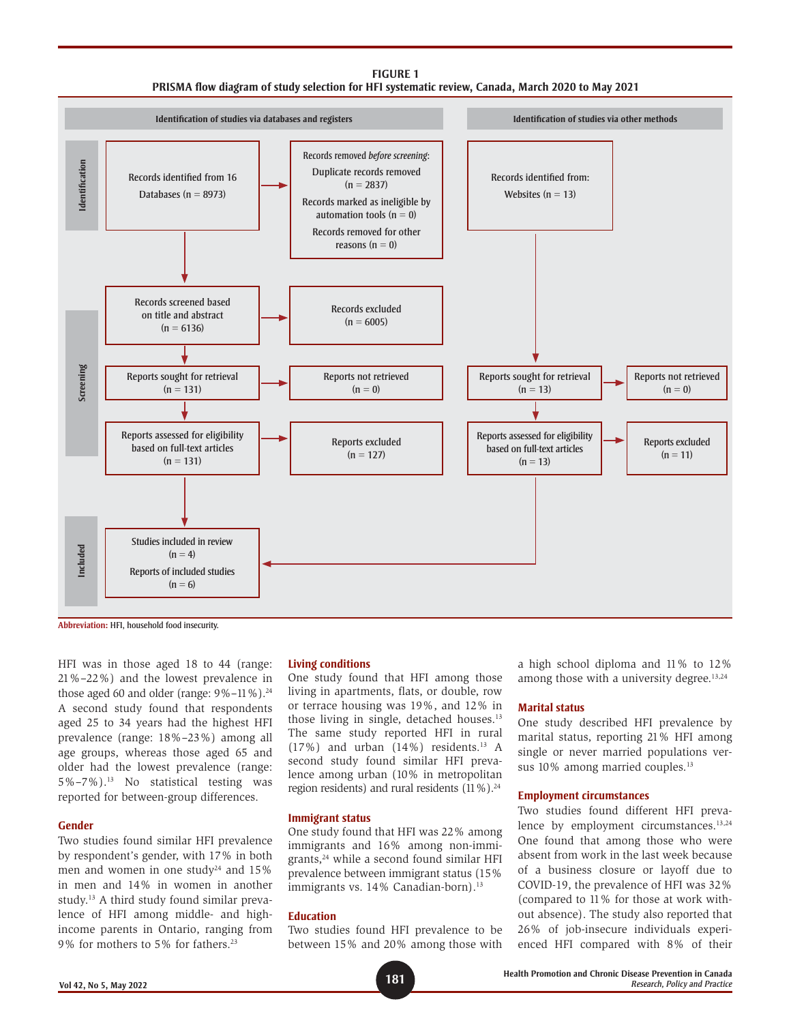



**Abbreviation:** HFI, household food insecurity.

HFI was in those aged 18 to 44 (range: 21%–22%) and the lowest prevalence in those aged 60 and older (range:  $9\% - 11\%$ ).<sup>24</sup> A second study found that respondents aged 25 to 34 years had the highest HFI prevalence (range: 18%–23%) among all age groups, whereas those aged 65 and older had the lowest prevalence (range: 5%–7%).13 No statistical testing was reported for between-group differences.

#### **Gender**

Two studies found similar HFI prevalence by respondent's gender, with 17% in both men and women in one study<sup>24</sup> and  $15\%$ in men and 14% in women in another study.13 A third study found similar prevalence of HFI among middle- and highincome parents in Ontario, ranging from 9% for mothers to 5% for fathers.23

#### **Living conditions**

One study found that HFI among those living in apartments, flats, or double, row or terrace housing was 19%, and 12% in those living in single, detached houses.13 The same study reported HFI in rural  $(17%)$  and urban  $(14%)$  residents.<sup>13</sup> A second study found similar HFI prevalence among urban (10% in metropolitan region residents) and rural residents (11%).<sup>24</sup>

#### **Immigrant status**

One study found that HFI was 22% among immigrants and 16% among non-immigrants,24 while a second found similar HFI prevalence between immigrant status (15% immigrants vs. 14% Canadian-born).<sup>13</sup>

#### **Education**

Two studies found HFI prevalence to be between 15% and 20% among those with a high school diploma and 11% to 12% among those with a university degree.<sup>13,24</sup>

#### **Marital status**

One study described HFI prevalence by marital status, reporting 21% HFI among single or never married populations versus 10% among married couples.<sup>13</sup>

#### **Employment circumstances**

Two studies found different HFI prevalence by employment circumstances.<sup>13,24</sup> One found that among those who were absent from work in the last week because of a business closure or layoff due to COVID-19, the prevalence of HFI was 32% (compared to 11% for those at work without absence). The study also reported that 26% of job-insecure individuals experienced HFI compared with 8% of their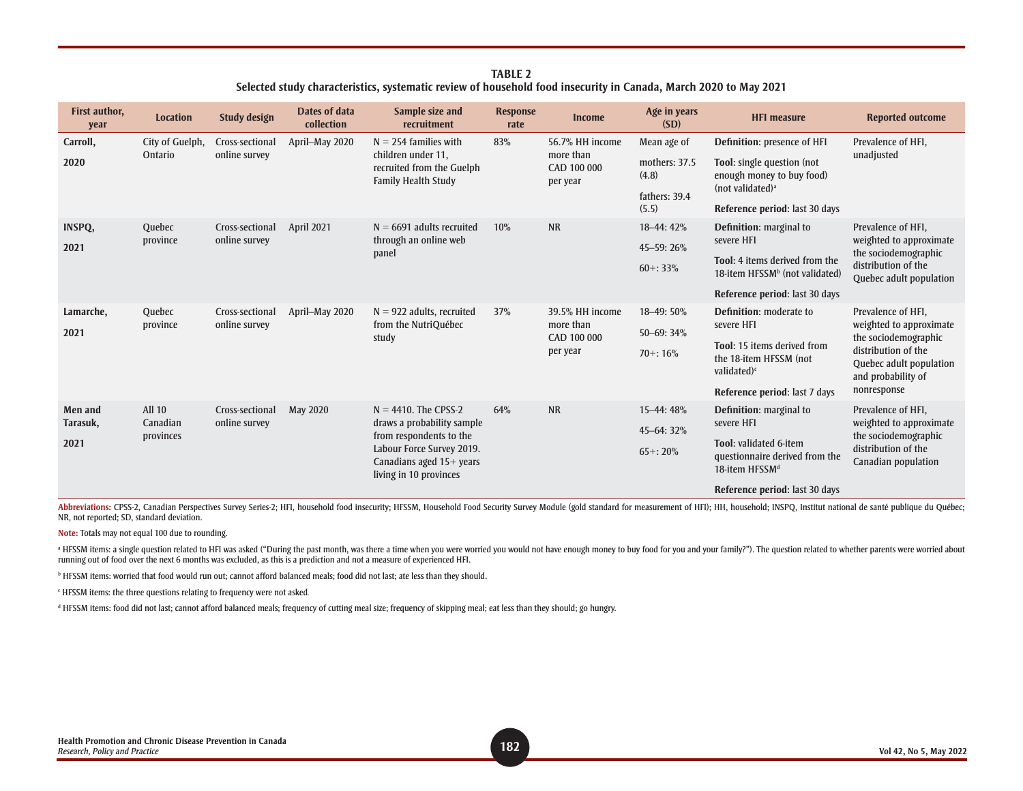**TABLE 2 Selected study characteristics, systematic review of household food insecurity in Canada, March 2020 to May 2021**

| First author,<br>year | <b>Location</b>       | Study design    | Dates of data<br>collection                                                   | Sample size and<br>recruitment                                                                                                           | <b>Response</b><br>rate              | <b>Income</b>                        | Age in years<br>(SD)                                    | <b>HFI measure</b>                                                                     | <b>Reported outcome</b>                                                                                                                |
|-----------------------|-----------------------|-----------------|-------------------------------------------------------------------------------|------------------------------------------------------------------------------------------------------------------------------------------|--------------------------------------|--------------------------------------|---------------------------------------------------------|----------------------------------------------------------------------------------------|----------------------------------------------------------------------------------------------------------------------------------------|
| Carroll,              | City of Guelph,       | Cross-sectional | April-May 2020                                                                | $N = 254$ families with                                                                                                                  | 83%                                  | 56.7% HH income                      | Mean age of                                             | Definition: presence of HFI                                                            | Prevalence of HFI,                                                                                                                     |
| Ontario<br>2020       | online survey         |                 | children under 11,<br>recruited from the Guelph<br><b>Family Health Study</b> |                                                                                                                                          | more than<br>CAD 100 000<br>per year | mothers: 37.5<br>(4.8)               | Tool: single question (not<br>enough money to buy food) | unadjusted                                                                             |                                                                                                                                        |
|                       |                       |                 |                                                                               |                                                                                                                                          |                                      |                                      | fathers: 39.4                                           |                                                                                        | (not validated) <sup>a</sup>                                                                                                           |
|                       |                       |                 |                                                                               |                                                                                                                                          |                                      |                                      | (5.5)                                                   | Reference period: last 30 days                                                         |                                                                                                                                        |
| INSPQ,                | Quebec                | Cross-sectional | <b>April 2021</b>                                                             | $N = 6691$ adults recruited                                                                                                              | 10%                                  | <b>NR</b>                            | 18-44: 42%                                              | Definition: marginal to                                                                | Prevalence of HFI,                                                                                                                     |
| 2021                  | province              | online survey   |                                                                               | through an online web<br>panel                                                                                                           |                                      |                                      | 45-59: 26%                                              | severe HFI                                                                             | weighted to approximate<br>the sociodemographic                                                                                        |
|                       |                       |                 |                                                                               |                                                                                                                                          |                                      |                                      | $60 + 33%$                                              | Tool: 4 items derived from the<br>18-item HFSSM <sup>b</sup> (not validated)           | distribution of the<br>Quebec adult population                                                                                         |
|                       |                       |                 |                                                                               |                                                                                                                                          |                                      |                                      |                                                         | Reference period: last 30 days                                                         |                                                                                                                                        |
| Lamarche,             | Quebec                | Cross-sectional | April-May 2020                                                                | $N = 922$ adults, recruited                                                                                                              | 37%                                  | 39.5% HH income                      | 18-49: 50%                                              | <b>Definition:</b> moderate to                                                         | Prevalence of HFI,                                                                                                                     |
| province<br>2021      |                       | online survey   |                                                                               | from the NutriQuébec<br>study                                                                                                            |                                      | more than<br>CAD 100 000<br>per year | 50-69: 34%                                              | severe HFI                                                                             | weighted to approximate<br>the sociodemographic<br>distribution of the<br>Quebec adult population<br>and probability of<br>nonresponse |
|                       |                       |                 |                                                                               |                                                                                                                                          |                                      |                                      | $70 + 16%$                                              | Tool: 15 items derived from<br>the 18-item HFSSM (not<br>validated) <sup>c</sup>       |                                                                                                                                        |
|                       |                       |                 |                                                                               |                                                                                                                                          |                                      |                                      |                                                         | Reference period: last 7 days                                                          |                                                                                                                                        |
| Men and               | <b>All 10</b>         | Cross-sectional | May 2020                                                                      | $N = 4410$ . The CPSS-2                                                                                                                  | 64%                                  | <b>NR</b>                            | 15-44: 48%                                              | Definition: marginal to                                                                | Prevalence of HFI.                                                                                                                     |
| Tarasuk,              | Canadian<br>provinces | online survey   |                                                                               | draws a probability sample<br>from respondents to the<br>Labour Force Survey 2019.<br>Canadians aged 15+ years<br>living in 10 provinces |                                      |                                      | 45-64: 32%                                              | severe HFI                                                                             | weighted to approximate<br>the sociodemographic<br>distribution of the<br>Canadian population                                          |
| 2021                  |                       |                 |                                                                               |                                                                                                                                          |                                      |                                      | $65 + 20%$                                              | Tool: validated 6-item<br>questionnaire derived from the<br>18-item HFSSM <sup>d</sup> |                                                                                                                                        |
|                       |                       |                 |                                                                               |                                                                                                                                          |                                      |                                      |                                                         | Reference period: last 30 days                                                         |                                                                                                                                        |

Abbreviations: CPSS-2, Canadian Perspectives Survey Series-2; HFI, household food insecurity; HFSSM, Household Food Security Survey Module (gold standard for measurement of HFI); HH, household; INSPQ, Institut national de NR, not reported; SD, standard deviation.

**Note:** Totals may not equal 100 due to rounding.

HFSSM items: a single question related to HFI was asked ("During the past month, was there a time when you were worried you would not have enough money to buy food for you and your family?"). The question related to whethe running out of food over the next 6 months was excluded, as this is a prediction and not a measure of experienced HFI.

b HFSSM items: worried that food would run out; cannot afford balanced meals; food did not last; ate less than they should.

c HFSSM items: the three questions relating to frequency were not asked.

d HFSSM items: food did not last; cannot afford balanced meals; frequency of cutting meal size; frequency of skipping meal; eat less than they should; go hungry.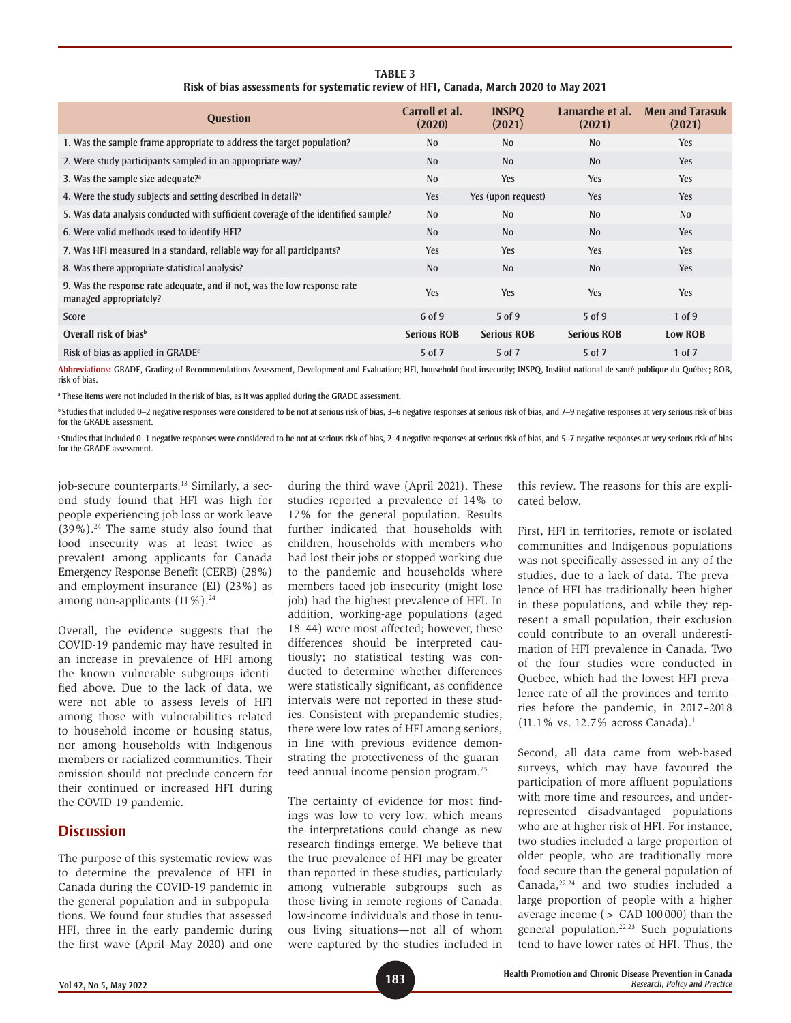| <b>Question</b>                                                                                    | Carroll et al.<br>(2020) | <b>INSPO</b><br>(2021) | Lamarche et al.<br>(2021) | <b>Men and Tarasuk</b><br>(2021) |
|----------------------------------------------------------------------------------------------------|--------------------------|------------------------|---------------------------|----------------------------------|
| 1. Was the sample frame appropriate to address the target population?                              | N <sub>0</sub>           | N <sub>0</sub>         | N <sub>0</sub>            | <b>Yes</b>                       |
| 2. Were study participants sampled in an appropriate way?                                          | N <sub>0</sub>           | N <sub>0</sub>         | N <sub>0</sub>            | <b>Yes</b>                       |
| 3. Was the sample size adequate? <sup>a</sup>                                                      | N <sub>0</sub>           | <b>Yes</b>             | Yes                       | <b>Yes</b>                       |
| 4. Were the study subjects and setting described in detail? <sup>3</sup>                           | Yes                      | Yes (upon request)     | <b>Yes</b>                | Yes                              |
| 5. Was data analysis conducted with sufficient coverage of the identified sample?                  | N <sub>0</sub>           | N <sub>0</sub>         | N <sub>0</sub>            | No                               |
| 6. Were valid methods used to identify HFI?                                                        | N <sub>0</sub>           | N <sub>0</sub>         | No                        | Yes                              |
| 7. Was HFI measured in a standard, reliable way for all participants?                              | Yes                      | <b>Yes</b>             | Yes                       | <b>Yes</b>                       |
| 8. Was there appropriate statistical analysis?                                                     | No                       | N <sub>0</sub>         | N <sub>0</sub>            | Yes                              |
| 9. Was the response rate adequate, and if not, was the low response rate<br>managed appropriately? | <b>Yes</b>               | Yes                    | Yes                       | Yes                              |
| Score                                                                                              | 6 of 9                   | $5$ of 9               | $5$ of 9                  | $1$ of 9                         |
| Overall risk of bias <sup>b</sup>                                                                  | <b>Serious ROB</b>       | <b>Serious ROB</b>     | <b>Serious ROB</b>        | <b>Low ROB</b>                   |
| Risk of bias as applied in GRADE $c$                                                               | 5 of 7                   | 5 of 7                 | 5 of 7                    | 1 of 7                           |

**TABLE 3 Risk of bias assessments for systematic review of HFI, Canada, March 2020 to May 2021**

**Abbreviations:** GRADE, Grading of Recommendations Assessment, Development and Evaluation; HFI, household food insecurity; INSPQ, Institut national de santé publique du Québec; ROB, risk of bias.

a These items were not included in the risk of bias, as it was applied during the GRADE assessment.

<sup>b</sup> Studies that included 0–2 negative responses were considered to be not at serious risk of bias, 3–6 negative responses at serious risk of bias and 7–9 negative responses at very serious risk of bias for the GRADE assessment.

c Studies that included 0–1 negative responses were considered to be not at serious risk of bias, 2–4 negative responses at serious risk of bias, and 5–7 negative responses at very serious risk of bias for the GRADE assessment.

job-secure counterparts.<sup>13</sup> Similarly, a second study found that HFI was high for people experiencing job loss or work leave  $(39\%)$ .<sup>24</sup> The same study also found that food insecurity was at least twice as prevalent among applicants for Canada Emergency Response Benefit (CERB) (28%) and employment insurance (EI) (23%) as among non-applicants  $(11\%)$ .<sup>24</sup>

Overall, the evidence suggests that the COVID-19 pandemic may have resulted in an increase in prevalence of HFI among the known vulnerable subgroups identified above. Due to the lack of data, we were not able to assess levels of HFI among those with vulnerabilities related to household income or housing status, nor among households with Indigenous members or racialized communities. Their omission should not preclude concern for their continued or increased HFI during the COVID-19 pandemic.

# **Discussion**

The purpose of this systematic review was to determine the prevalence of HFI in Canada during the COVID-19 pandemic in the general population and in subpopulations. We found four studies that assessed HFI, three in the early pandemic during the first wave (April–May 2020) and one

during the third wave (April 2021). These studies reported a prevalence of 14% to 17% for the general population. Results further indicated that households with children, households with members who had lost their jobs or stopped working due to the pandemic and households where members faced job insecurity (might lose job) had the highest prevalence of HFI. In addition, working-age populations (aged 18–44) were most affected; however, these differences should be interpreted cautiously; no statistical testing was conducted to determine whether differences were statistically significant, as confidence intervals were not reported in these studies. Consistent with prepandemic studies, there were low rates of HFI among seniors, in line with previous evidence demonstrating the protectiveness of the guaranteed annual income pension program.25

The certainty of evidence for most findings was low to very low, which means the interpretations could change as new research findings emerge. We believe that the true prevalence of HFI may be greater than reported in these studies, particularly among vulnerable subgroups such as those living in remote regions of Canada, low-income individuals and those in tenuous living situations—not all of whom were captured by the studies included in this review. The reasons for this are explicated below.

First, HFI in territories, remote or isolated communities and Indigenous populations was not specifically assessed in any of the studies, due to a lack of data. The prevalence of HFI has traditionally been higher in these populations, and while they represent a small population, their exclusion could contribute to an overall underestimation of HFI prevalence in Canada. Two of the four studies were conducted in Quebec, which had the lowest HFI prevalence rate of all the provinces and territories before the pandemic, in 2017–2018 (11.1% vs. 12.7% across Canada).1

Second, all data came from web-based surveys, which may have favoured the participation of more affluent populations with more time and resources, and underrepresented disadvantaged populations who are at higher risk of HFI. For instance, two studies included a large proportion of older people, who are traditionally more food secure than the general population of Canada, $22,24$  and two studies included a large proportion of people with a higher average income (> CAD 100000) than the general population.22,23 Such populations tend to have lower rates of HFI. Thus, the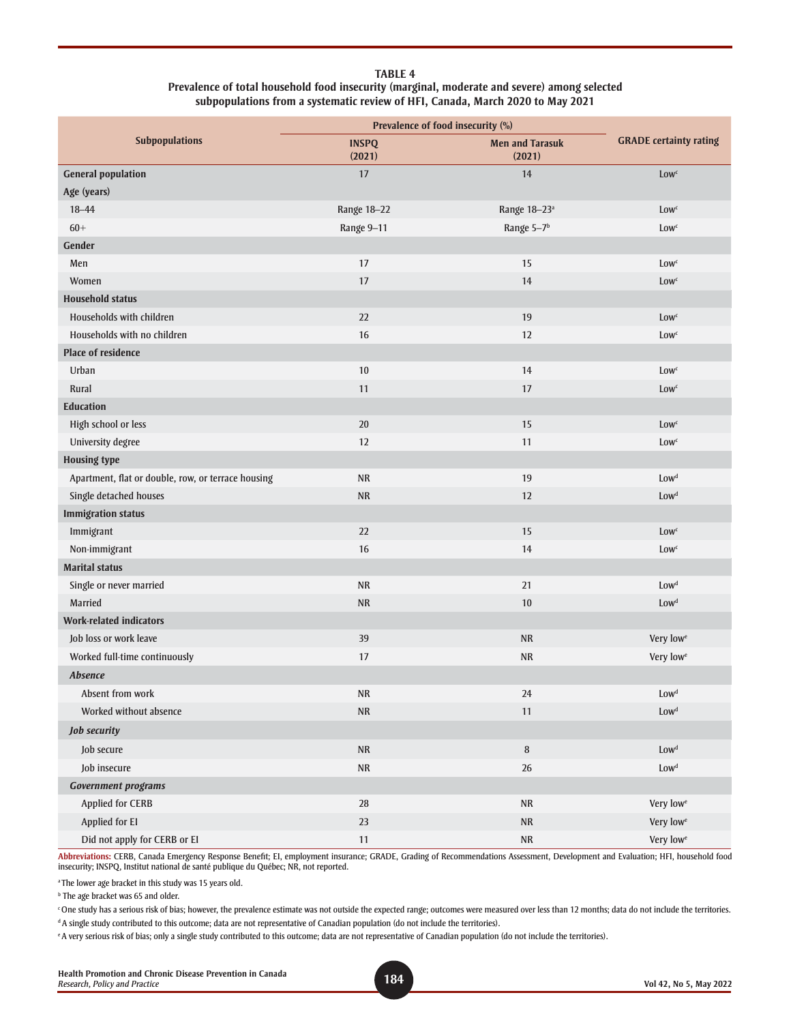#### **TABLE 4 Prevalence of total household food insecurity (marginal, moderate and severe) among selected subpopulations from a systematic review of HFI, Canada, March 2020 to May 2021**

|                                                    | Prevalence of food insecurity (%) |                                  |                               |  |
|----------------------------------------------------|-----------------------------------|----------------------------------|-------------------------------|--|
| <b>Subpopulations</b>                              | <b>INSPQ</b><br>(2021)            | <b>Men and Tarasuk</b><br>(2021) | <b>GRADE</b> certainty rating |  |
| <b>General population</b>                          | 17                                | 14                               | <b>Low</b> <sup>c</sup>       |  |
| Age (years)                                        |                                   |                                  |                               |  |
| $18 - 44$                                          | Range 18-22                       | Range 18-23 <sup>a</sup>         | <b>Low</b> <sup>c</sup>       |  |
| $60+$                                              | Range 9-11                        | Range 5-7 <sup>b</sup>           | Low <sup>c</sup>              |  |
| Gender                                             |                                   |                                  |                               |  |
| Men                                                | 17                                | 15                               | Low <sup>c</sup>              |  |
| Women                                              | 17                                | 14                               | <b>Low</b> <sup>c</sup>       |  |
| <b>Household status</b>                            |                                   |                                  |                               |  |
| Households with children                           | 22                                | 19                               | Low <sup>c</sup>              |  |
| Households with no children                        | 16                                | 12                               | <b>Low</b> <sup>c</sup>       |  |
| <b>Place of residence</b>                          |                                   |                                  |                               |  |
| Urban                                              | 10                                | 14                               | Low <sup>c</sup>              |  |
| Rural                                              | 11                                | $17\,$                           | <b>Low</b> <sup>c</sup>       |  |
| <b>Education</b>                                   |                                   |                                  |                               |  |
| High school or less                                | 20                                | 15                               | Low <sup>c</sup>              |  |
| University degree                                  | 12                                | 11                               | <b>Low</b> <sup>c</sup>       |  |
| <b>Housing type</b>                                |                                   |                                  |                               |  |
| Apartment, flat or double, row, or terrace housing | <b>NR</b>                         | 19                               | Low <sup>d</sup>              |  |
| Single detached houses                             | ${\sf NR}$                        | 12                               | Lowd                          |  |
| <b>Immigration status</b>                          |                                   |                                  |                               |  |
| Immigrant                                          | 22                                | 15                               | Low <sup>c</sup>              |  |
| Non-immigrant                                      | 16                                | 14                               | <b>Low</b> <sup>c</sup>       |  |
| <b>Marital status</b>                              |                                   |                                  |                               |  |
| Single or never married                            | <b>NR</b>                         | 21                               | Low <sup>d</sup>              |  |
| Married                                            | <b>NR</b>                         | 10                               | Low <sup>d</sup>              |  |
| <b>Work-related indicators</b>                     |                                   |                                  |                               |  |
| Job loss or work leave                             | 39                                | <b>NR</b>                        | Very low <sup>e</sup>         |  |
| Worked full-time continuously                      | 17                                | <b>NR</b>                        | Very low <sup>e</sup>         |  |
| <b>Absence</b>                                     |                                   |                                  |                               |  |
| Absent from work                                   | ${\sf NR}$                        | 24                               | $\textsf{Low}^\text{d}$       |  |
| Worked without absence                             | $\sf NR$                          | 11                               | Low <sup>d</sup>              |  |
| <b>Job security</b>                                |                                   |                                  |                               |  |
| Job secure                                         | ${\sf NR}$                        | $\, 8$                           | Low <sup>d</sup>              |  |
| Job insecure                                       | ${\sf NR}$                        | $26\,$                           | Low <sup>d</sup>              |  |
| <b>Government programs</b>                         |                                   |                                  |                               |  |
| <b>Applied for CERB</b>                            | 28                                | $\sf NR$                         | Very low <sup>e</sup>         |  |
| Applied for El                                     | $23\,$                            | ${\sf NR}$                       | Very low <sup>e</sup>         |  |
| Did not apply for CERB or EI                       | $11$                              | $\sf NR$                         | Very low <sup>e</sup>         |  |

**Abbreviations:** CERB, Canada Emergency Response Benefit; EI, employment insurance; GRADE, Grading of Recommendations Assessment, Development and Evaluation; HFI, household food insecurity; INSPQ, Institut national de santé publique du Québec; NR, not reported.

<sup>a</sup> The lower age bracket in this study was 15 years old.

**b** The age bracket was 65 and older.

c One study has a serious risk of bias; however, the prevalence estimate was not outside the expected range; outcomes were measured over less than 12 months; data do not include the territories.

<sup>d</sup> A single study contributed to this outcome; data are not representative of Canadian population (do not include the territories).

e A very serious risk of bias; only a single study contributed to this outcome; data are not representative of Canadian population (do not include the territories).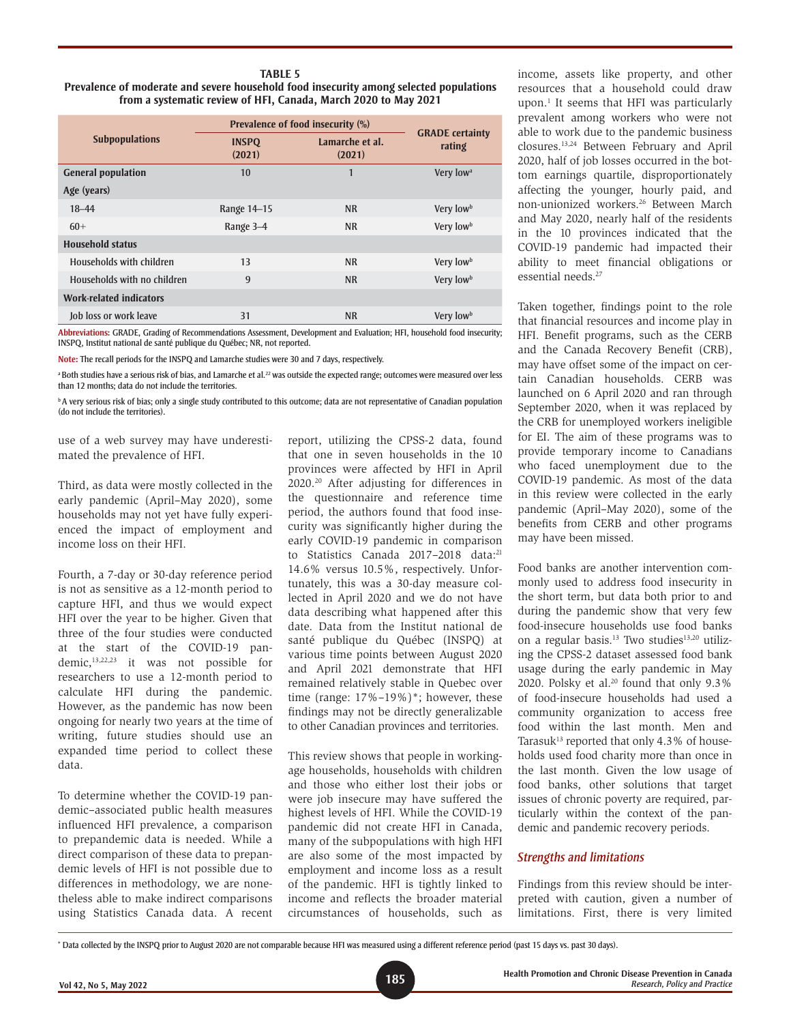#### **TABLE 5 Prevalence of moderate and severe household food insecurity among selected populations from a systematic review of HFI, Canada, March 2020 to May 2021**

|                                | Prevalence of food insecurity (%) | <b>GRADE</b> certainty    |                       |  |
|--------------------------------|-----------------------------------|---------------------------|-----------------------|--|
| <b>Subpopulations</b>          | <b>INSPQ</b><br>(2021)            | Lamarche et al.<br>(2021) | rating                |  |
| <b>General population</b>      | 10                                | 1                         | Very low <sup>a</sup> |  |
| Age (years)                    |                                   |                           |                       |  |
| $18 - 44$                      | Range 14-15                       | <b>NR</b>                 | Very low <sup>b</sup> |  |
| $60+$                          | Range 3-4                         | <b>NR</b>                 | Very low <sup>b</sup> |  |
| Household status               |                                   |                           |                       |  |
| Households with children       | 13                                | <b>NR</b>                 | Very low <sup>b</sup> |  |
| Households with no children    | 9                                 | <b>NR</b>                 | Very low <sup>b</sup> |  |
| <b>Work-related indicators</b> |                                   |                           |                       |  |
| Job loss or work leave         | 31                                | <b>NR</b>                 | Very low <sup>b</sup> |  |

**Abbreviations:** GRADE, Grading of Recommendations Assessment, Development and Evaluation; HFI, household food insecurity; INSPQ, Institut national de santé publique du Québec; NR, not reported.

**Note:** The recall periods for the INSPQ and Lamarche studies were 30 and 7 days, respectively.

<sup>a</sup> Both studies have a serious risk of bias, and Lamarche et al.<sup>22</sup> was outside the expected range; outcomes were measured over less than 12 months; data do not include the territories.

**b** A very serious risk of bias; only a single study contributed to this outcome; data are not representative of Canadian population (do not include the territories).

use of a web survey may have underestimated the prevalence of HFI.

Third, as data were mostly collected in the early pandemic (April–May 2020), some households may not yet have fully experienced the impact of employment and income loss on their HFI.

Fourth, a 7-day or 30-day reference period is not as sensitive as a 12-month period to capture HFI, and thus we would expect HFI over the year to be higher. Given that three of the four studies were conducted at the start of the COVID-19 pandemic,13,22,23 it was not possible for researchers to use a 12-month period to calculate HFI during the pandemic. However, as the pandemic has now been ongoing for nearly two years at the time of writing, future studies should use an expanded time period to collect these data.

To determine whether the COVID-19 pandemic–associated public health measures influenced HFI prevalence, a comparison to prepandemic data is needed. While a direct comparison of these data to prepandemic levels of HFI is not possible due to differences in methodology, we are nonetheless able to make indirect comparisons using Statistics Canada data. A recent

report, utilizing the CPSS-2 data, found that one in seven households in the 10 provinces were affected by HFI in April 2020.20 After adjusting for differences in the questionnaire and reference time period, the authors found that food insecurity was significantly higher during the early COVID-19 pandemic in comparison to Statistics Canada 2017-2018 data:<sup>21</sup> 14.6% versus 10.5%, respectively. Unfortunately, this was a 30-day measure collected in April 2020 and we do not have data describing what happened after this date. Data from the Institut national de santé publique du Québec (INSPQ) at various time points between August 2020 and April 2021 demonstrate that HFI remained relatively stable in Quebec over time (range: 17%–19%)\*; however, these findings may not be directly generalizable to other Canadian provinces and territories.

This review shows that people in workingage households, households with children and those who either lost their jobs or were job insecure may have suffered the highest levels of HFI. While the COVID-19 pandemic did not create HFI in Canada, many of the subpopulations with high HFI are also some of the most impacted by employment and income loss as a result of the pandemic. HFI is tightly linked to income and reflects the broader material circumstances of households, such as income, assets like property, and other resources that a household could draw upon.1 It seems that HFI was particularly prevalent among workers who were not able to work due to the pandemic business closures.13,24 Between February and April 2020, half of job losses occurred in the bottom earnings quartile, disproportionately affecting the younger, hourly paid, and non-unionized workers.26 Between March and May 2020, nearly half of the residents in the 10 provinces indicated that the COVID-19 pandemic had impacted their ability to meet financial obligations or essential needs.<sup>27</sup>

Taken together, findings point to the role that financial resources and income play in HFI. Benefit programs, such as the CERB and the Canada Recovery Benefit (CRB), may have offset some of the impact on certain Canadian households. CERB was launched on 6 April 2020 and ran through September 2020, when it was replaced by the CRB for unemployed workers ineligible for EI. The aim of these programs was to provide temporary income to Canadians who faced unemployment due to the COVID-19 pandemic. As most of the data in this review were collected in the early pandemic (April–May 2020), some of the benefits from CERB and other programs may have been missed.

Food banks are another intervention commonly used to address food insecurity in the short term, but data both prior to and during the pandemic show that very few food-insecure households use food banks on a regular basis.<sup>13</sup> Two studies<sup>13,20</sup> utilizing the CPSS-2 dataset assessed food bank usage during the early pandemic in May 2020. Polsky et al. $20$  found that only  $9.3\%$ of food-insecure households had used a community organization to access free food within the last month. Men and Tarasuk<sup>13</sup> reported that only  $4.3\%$  of households used food charity more than once in the last month. Given the low usage of food banks, other solutions that target issues of chronic poverty are required, particularly within the context of the pandemic and pandemic recovery periods.

### *Strengths and limitations*

Findings from this review should be interpreted with caution, given a number of limitations. First, there is very limited

\* Data collected by the INSPQ prior to August 2020 are not comparable because HFI was measured using a different reference period (past 15 days vs. past 30 days).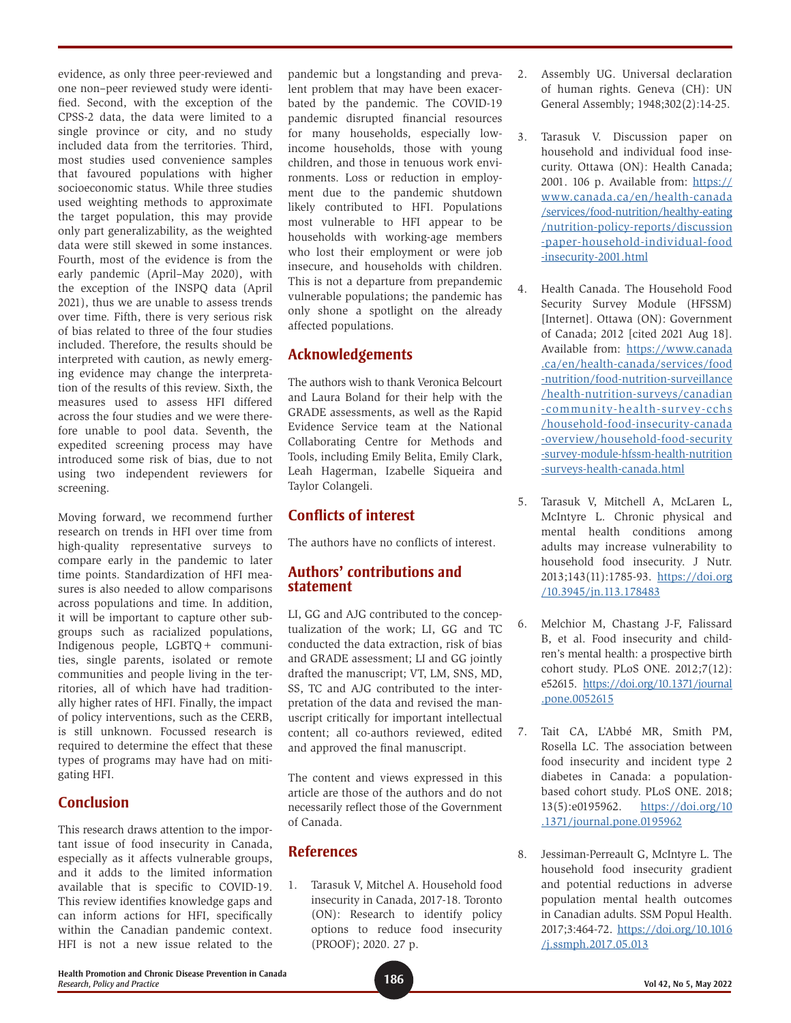evidence, as only three peer-reviewed and one non–peer reviewed study were identified. Second, with the exception of the CPSS-2 data, the data were limited to a single province or city, and no study included data from the territories. Third, most studies used convenience samples that favoured populations with higher socioeconomic status. While three studies used weighting methods to approximate the target population, this may provide only part generalizability, as the weighted data were still skewed in some instances. Fourth, most of the evidence is from the early pandemic (April–May 2020), with the exception of the INSPQ data (April 2021), thus we are unable to assess trends over time. Fifth, there is very serious risk of bias related to three of the four studies included. Therefore, the results should be interpreted with caution, as newly emerging evidence may change the interpretation of the results of this review. Sixth, the measures used to assess HFI differed across the four studies and we were therefore unable to pool data. Seventh, the expedited screening process may have introduced some risk of bias, due to not using two independent reviewers for screening.

Moving forward, we recommend further research on trends in HFI over time from high-quality representative surveys to compare early in the pandemic to later time points. Standardization of HFI measures is also needed to allow comparisons across populations and time. In addition, it will be important to capture other subgroups such as racialized populations, Indigenous people, LGBTQ+ communities, single parents, isolated or remote communities and people living in the territories, all of which have had traditionally higher rates of HFI. Finally, the impact of policy interventions, such as the CERB, is still unknown. Focussed research is required to determine the effect that these types of programs may have had on mitigating HFI.

# **Conclusion**

This research draws attention to the important issue of food insecurity in Canada, especially as it affects vulnerable groups, and it adds to the limited information available that is specific to COVID-19. This review identifies knowledge gaps and can inform actions for HFI, specifically within the Canadian pandemic context. HFI is not a new issue related to the pandemic but a longstanding and prevalent problem that may have been exacerbated by the pandemic. The COVID-19 pandemic disrupted financial resources for many households, especially lowincome households, those with young children, and those in tenuous work environments. Loss or reduction in employment due to the pandemic shutdown likely contributed to HFI. Populations most vulnerable to HFI appear to be households with working-age members who lost their employment or were job insecure, and households with children. This is not a departure from prepandemic vulnerable populations; the pandemic has only shone a spotlight on the already affected populations.

# **Acknowledgements**

The authors wish to thank Veronica Belcourt and Laura Boland for their help with the GRADE assessments, as well as the Rapid Evidence Service team at the National Collaborating Centre for Methods and Tools, including Emily Belita, Emily Clark, Leah Hagerman, Izabelle Siqueira and Taylor Colangeli.

# **Conflicts of interest**

The authors have no conflicts of interest.

# **Authors' contributions and statement**

LI, GG and AJG contributed to the conceptualization of the work; LI, GG and TC conducted the data extraction, risk of bias and GRADE assessment; LI and GG jointly drafted the manuscript; VT, LM, SNS, MD, SS, TC and AJG contributed to the interpretation of the data and revised the manuscript critically for important intellectual content; all co-authors reviewed, edited and approved the final manuscript.

The content and views expressed in this article are those of the authors and do not necessarily reflect those of the Government of Canada.

# **References**

1. Tarasuk V, Mitchel A. Household food insecurity in Canada, 2017-18. Toronto (ON): Research to identify policy options to reduce food insecurity (PROOF); 2020. 27 p.

- 2. Assembly UG. Universal declaration of human rights. Geneva (CH): UN General Assembly; 1948;302(2):14-25.
- 3. Tarasuk V. Discussion paper on household and individual food insecurity. Ottawa (ON): Health Canada; 2001. 106 p. Available from: [https://](https://www.canada.ca/en/health-canada/services/food-nutrition/healthy-eating/nutrition-policy-reports/discussion-paper-household-individual-food-insecurity-2001.html) [www.canada.ca/en/health-canada](https://www.canada.ca/en/health-canada/services/food-nutrition/healthy-eating/nutrition-policy-reports/discussion-paper-household-individual-food-insecurity-2001.html) [/services/food-nutrition/healthy-eating](https://www.canada.ca/en/health-canada/services/food-nutrition/healthy-eating/nutrition-policy-reports/discussion-paper-household-individual-food-insecurity-2001.html) [/nutrition-policy-reports/discussion](https://www.canada.ca/en/health-canada/services/food-nutrition/healthy-eating/nutrition-policy-reports/discussion-paper-household-individual-food-insecurity-2001.html) [-paper-household-individual-food](https://www.canada.ca/en/health-canada/services/food-nutrition/healthy-eating/nutrition-policy-reports/discussion-paper-household-individual-food-insecurity-2001.html) [-insecurity-2001.html](https://www.canada.ca/en/health-canada/services/food-nutrition/healthy-eating/nutrition-policy-reports/discussion-paper-household-individual-food-insecurity-2001.html)
- 4. Health Canada. The Household Food Security Survey Module (HFSSM) [Internet]. Ottawa (ON): Government of Canada; 2012 [cited 2021 Aug 18]. Available from: [https://www.canada](https://www.canada.ca/en/health-canada/services/food-nutrition/food-nutrition-surveillance/health-nutrition-surveys/canadian-community-health-survey-cchs/household-food-insecurity-canada-overview/household-food-security-survey-module-hfssm-health-nutrition-surveys-health-canada.html) [.ca/en/health-canada/services/food](https://www.canada.ca/en/health-canada/services/food-nutrition/food-nutrition-surveillance/health-nutrition-surveys/canadian-community-health-survey-cchs/household-food-insecurity-canada-overview/household-food-security-survey-module-hfssm-health-nutrition-surveys-health-canada.html) [-nutrition/food-nutrition-surveillance](https://www.canada.ca/en/health-canada/services/food-nutrition/food-nutrition-surveillance/health-nutrition-surveys/canadian-community-health-survey-cchs/household-food-insecurity-canada-overview/household-food-security-survey-module-hfssm-health-nutrition-surveys-health-canada.html) [/health-nutrition-surveys/canadian](https://www.canada.ca/en/health-canada/services/food-nutrition/food-nutrition-surveillance/health-nutrition-surveys/canadian-community-health-survey-cchs/household-food-insecurity-canada-overview/household-food-security-survey-module-hfssm-health-nutrition-surveys-health-canada.html) [-community-health-survey-cchs](https://www.canada.ca/en/health-canada/services/food-nutrition/food-nutrition-surveillance/health-nutrition-surveys/canadian-community-health-survey-cchs/household-food-insecurity-canada-overview/household-food-security-survey-module-hfssm-health-nutrition-surveys-health-canada.html) [/household-food-insecurity-canada](https://www.canada.ca/en/health-canada/services/food-nutrition/food-nutrition-surveillance/health-nutrition-surveys/canadian-community-health-survey-cchs/household-food-insecurity-canada-overview/household-food-security-survey-module-hfssm-health-nutrition-surveys-health-canada.html) [-overview/household-food-security](https://www.canada.ca/en/health-canada/services/food-nutrition/food-nutrition-surveillance/health-nutrition-surveys/canadian-community-health-survey-cchs/household-food-insecurity-canada-overview/household-food-security-survey-module-hfssm-health-nutrition-surveys-health-canada.html) [-survey-module-hfssm-health-nutrition](https://www.canada.ca/en/health-canada/services/food-nutrition/food-nutrition-surveillance/health-nutrition-surveys/canadian-community-health-survey-cchs/household-food-insecurity-canada-overview/household-food-security-survey-module-hfssm-health-nutrition-surveys-health-canada.html) [-surveys-health-canada.html](https://www.canada.ca/en/health-canada/services/food-nutrition/food-nutrition-surveillance/health-nutrition-surveys/canadian-community-health-survey-cchs/household-food-insecurity-canada-overview/household-food-security-survey-module-hfssm-health-nutrition-surveys-health-canada.html)
- 5. Tarasuk V, Mitchell A, McLaren L, McIntyre L. Chronic physical and mental health conditions among adults may increase vulnerability to household food insecurity. J Nutr. 2013;143(11):1785-93. [https://doi.org](https://doi.org/10.3945/jn.113.178483) [/10.3945/jn.113.178483](https://doi.org/10.3945/jn.113.178483)
- 6. Melchior M, Chastang J-F, Falissard B, et al. Food insecurity and children's mental health: a prospective birth cohort study. PLoS ONE. 2012;7(12): e52615. [https://doi.org/10.1371/journal](https://doi.org/10.1371/journal.pone.0052615) [.pone.0052615](https://doi.org/10.1371/journal.pone.0052615)
- 7. Tait CA, L'Abbé MR, Smith PM, Rosella LC. The association between food insecurity and incident type 2 diabetes in Canada: a populationbased cohort study. PLoS ONE. 2018; 13(5):e0195962. [https://doi.org/10](https://doi.org/10.1371/journal.pone.0195962) [.1371/journal.pone.0195962](https://doi.org/10.1371/journal.pone.0195962)
- 8. Jessiman-Perreault G, McIntyre L. The household food insecurity gradient and potential reductions in adverse population mental health outcomes in Canadian adults. SSM Popul Health. 2017;3:464-72. [https://doi.org/10.1016](https://doi.org/10.1016/j.ssmph.2017.05.013) [/j.ssmph.2017.05.013](https://doi.org/10.1016/j.ssmph.2017.05.013)